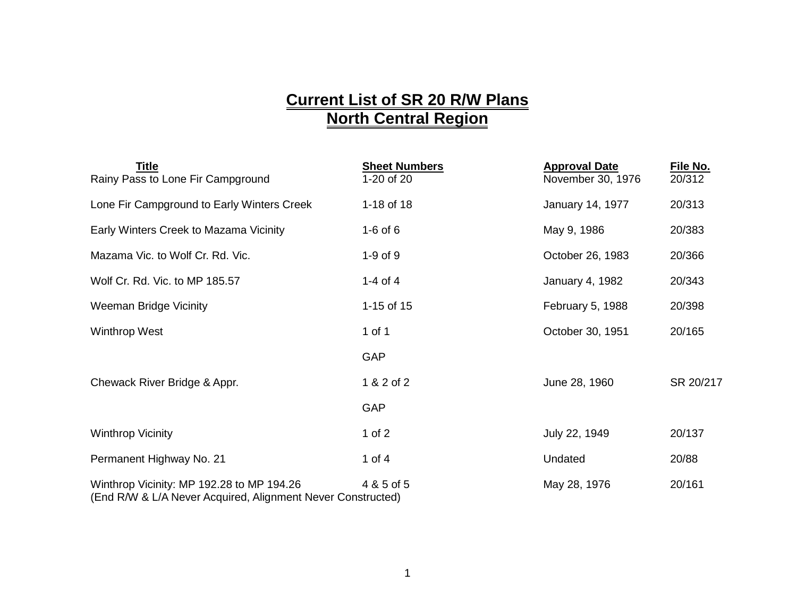## **Current List of SR 20 R/W Plans North Central Region**

| Title<br>Rainy Pass to Lone Fir Campground                                                               | <b>Sheet Numbers</b><br>1-20 of 20 | <b>Approval Date</b><br>November 30, 1976 | File No.<br>20/312 |
|----------------------------------------------------------------------------------------------------------|------------------------------------|-------------------------------------------|--------------------|
| Lone Fir Campground to Early Winters Creek                                                               | 1-18 of 18                         | January 14, 1977                          | 20/313             |
| Early Winters Creek to Mazama Vicinity                                                                   | $1-6$ of $6$                       | May 9, 1986                               | 20/383             |
| Mazama Vic. to Wolf Cr. Rd. Vic.                                                                         | $1-9$ of $9$                       | October 26, 1983                          | 20/366             |
| Wolf Cr. Rd. Vic. to MP 185.57                                                                           | 1-4 of 4                           | January 4, 1982                           | 20/343             |
| <b>Weeman Bridge Vicinity</b>                                                                            | 1-15 of 15                         | February 5, 1988                          | 20/398             |
| <b>Winthrop West</b>                                                                                     | 1 of 1                             | October 30, 1951                          | 20/165             |
|                                                                                                          | <b>GAP</b>                         |                                           |                    |
| Chewack River Bridge & Appr.                                                                             | 1 & 2 of 2                         | June 28, 1960                             | SR 20/217          |
|                                                                                                          | <b>GAP</b>                         |                                           |                    |
| <b>Winthrop Vicinity</b>                                                                                 | 1 of $2$                           | July 22, 1949                             | 20/137             |
| Permanent Highway No. 21                                                                                 | 1 of $4$                           | Undated                                   | 20/88              |
| Winthrop Vicinity: MP 192.28 to MP 194.26<br>(End R/W & L/A Never Acquired, Alignment Never Constructed) | 4 & 5 of 5                         | May 28, 1976                              | 20/161             |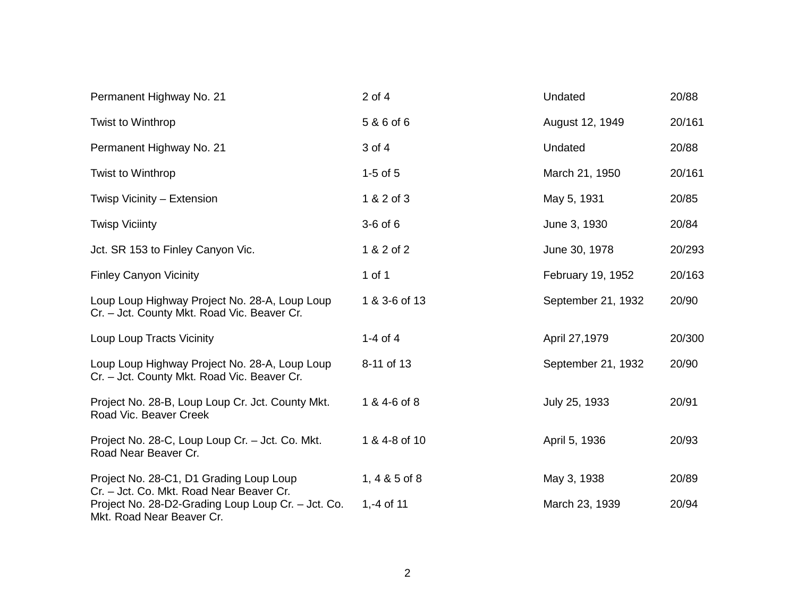| Permanent Highway No. 21                                                                     | $2$ of $4$        | Undated            | 20/88  |
|----------------------------------------------------------------------------------------------|-------------------|--------------------|--------|
| Twist to Winthrop                                                                            | 5 & 6 of 6        | August 12, 1949    | 20/161 |
| Permanent Highway No. 21                                                                     | 3 of 4            | Undated            | 20/88  |
| Twist to Winthrop                                                                            | $1-5$ of $5$      | March 21, 1950     | 20/161 |
| Twisp Vicinity - Extension                                                                   | 1 & 2 of 3        | May 5, 1931        | 20/85  |
| <b>Twisp Viciinty</b>                                                                        | $3-6$ of $6$      | June 3, 1930       | 20/84  |
| Jct. SR 153 to Finley Canyon Vic.                                                            | 1 & 2 of 2        | June 30, 1978      | 20/293 |
| <b>Finley Canyon Vicinity</b>                                                                | 1 of 1            | February 19, 1952  | 20/163 |
| Loup Loup Highway Project No. 28-A, Loup Loup<br>Cr. - Jct. County Mkt. Road Vic. Beaver Cr. | 1 & 3-6 of 13     | September 21, 1932 | 20/90  |
| Loup Loup Tracts Vicinity                                                                    | 1-4 of 4          | April 27,1979      | 20/300 |
| Loup Loup Highway Project No. 28-A, Loup Loup<br>Cr. - Jct. County Mkt. Road Vic. Beaver Cr. | 8-11 of 13        | September 21, 1932 | 20/90  |
| Project No. 28-B, Loup Loup Cr. Jct. County Mkt.<br>Road Vic. Beaver Creek                   | 1 & 4-6 of 8      | July 25, 1933      | 20/91  |
| Project No. 28-C, Loup Loup Cr. - Jct. Co. Mkt.<br>Road Near Beaver Cr.                      | 1 & 4-8 of 10     | April 5, 1936      | 20/93  |
| Project No. 28-C1, D1 Grading Loup Loup<br>Cr. - Jct. Co. Mkt. Road Near Beaver Cr.          | 1, $4 & 5$ of $8$ | May 3, 1938        | 20/89  |
| Project No. 28-D2-Grading Loup Loup Cr. - Jct. Co.<br>Mkt. Road Near Beaver Cr.              | 1, -4 of 11       | March 23, 1939     | 20/94  |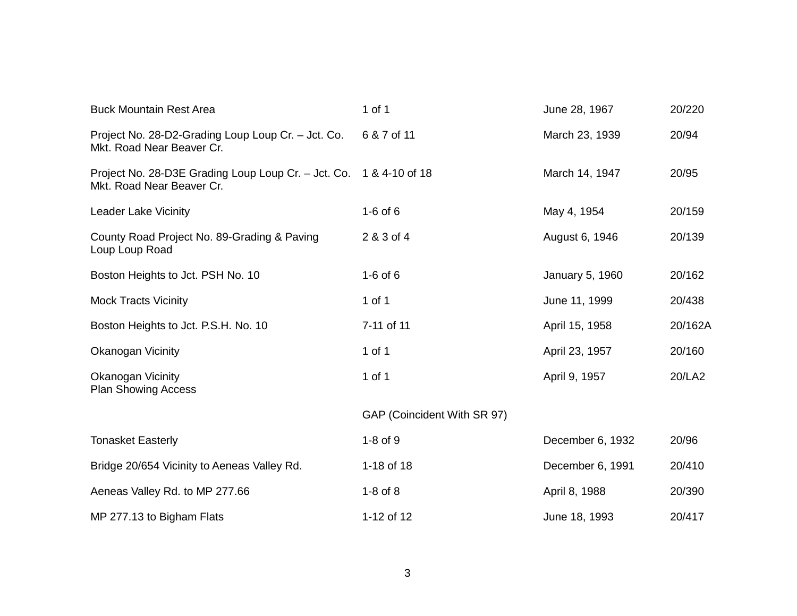| <b>Buck Mountain Rest Area</b>                                                                  | 1 of 1                      | June 28, 1967    | 20/220  |
|-------------------------------------------------------------------------------------------------|-----------------------------|------------------|---------|
| Project No. 28-D2-Grading Loup Loup Cr. - Jct. Co.<br>Mkt. Road Near Beaver Cr.                 | 6 & 7 of 11                 | March 23, 1939   | 20/94   |
| Project No. 28-D3E Grading Loup Loup Cr. - Jct. Co. 1 & 4-10 of 18<br>Mkt. Road Near Beaver Cr. |                             | March 14, 1947   | 20/95   |
| <b>Leader Lake Vicinity</b>                                                                     | $1-6$ of $6$                | May 4, 1954      | 20/159  |
| County Road Project No. 89-Grading & Paving<br>Loup Loup Road                                   | 2 & 3 of 4                  | August 6, 1946   | 20/139  |
| Boston Heights to Jct. PSH No. 10                                                               | $1-6$ of $6$                | January 5, 1960  | 20/162  |
| <b>Mock Tracts Vicinity</b>                                                                     | 1 of 1                      | June 11, 1999    | 20/438  |
| Boston Heights to Jct. P.S.H. No. 10                                                            | 7-11 of 11                  | April 15, 1958   | 20/162A |
| <b>Okanogan Vicinity</b>                                                                        | 1 of 1                      | April 23, 1957   | 20/160  |
| <b>Okanogan Vicinity</b><br><b>Plan Showing Access</b>                                          | 1 of 1                      | April 9, 1957    | 20/LA2  |
|                                                                                                 | GAP (Coincident With SR 97) |                  |         |
| <b>Tonasket Easterly</b>                                                                        | $1-8$ of $9$                | December 6, 1932 | 20/96   |
| Bridge 20/654 Vicinity to Aeneas Valley Rd.                                                     | 1-18 of 18                  | December 6, 1991 | 20/410  |
| Aeneas Valley Rd. to MP 277.66                                                                  | $1-8$ of $8$                | April 8, 1988    | 20/390  |
| MP 277.13 to Bigham Flats                                                                       | 1-12 of 12                  | June 18, 1993    | 20/417  |